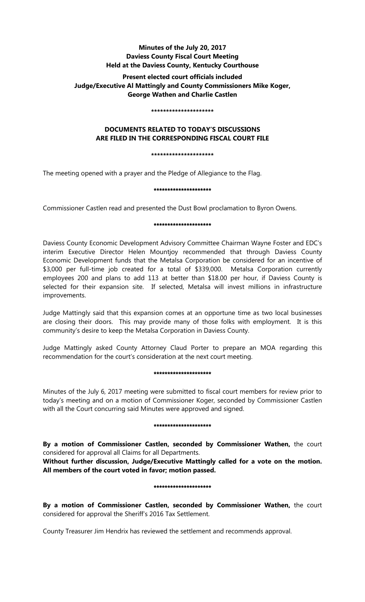# **Minutes of the July 20, 2017 Daviess County Fiscal Court Meeting Held at the Daviess County, Kentucky Courthouse**

# **Present elected court officials included Judge/Executive Al Mattingly and County Commissioners Mike Koger, George Wathen and Charlie Castlen**

#### **\*\*\*\*\*\*\*\*\*\*\*\*\*\*\*\*\*\*\*\*\***

# **DOCUMENTS RELATED TO TODAY'S DISCUSSIONS ARE FILED IN THE CORRESPONDING FISCAL COURT FILE**

## **\*\*\*\*\*\*\*\*\*\*\*\*\*\*\*\*\*\*\*\*\***

The meeting opened with a prayer and the Pledge of Allegiance to the Flag.

## \*\*\*\*\*\*\*\*\*\*\*\*\*\*\*\*\*\*\*\*\*

Commissioner Castlen read and presented the Dust Bowl proclamation to Byron Owens.

## \*\*\*\*\*\*\*\*\*\*\*\*\*\*\*\*\*\*\*\*\*

Daviess County Economic Development Advisory Committee Chairman Wayne Foster and EDC's interim Executive Director Helen Mountjoy recommended that through Daviess County Economic Development funds that the Metalsa Corporation be considered for an incentive of \$3,000 per full-time job created for a total of \$339,000. Metalsa Corporation currently employees 200 and plans to add 113 at better than \$18.00 per hour, if Daviess County is selected for their expansion site. If selected, Metalsa will invest millions in infrastructure improvements.

Judge Mattingly said that this expansion comes at an opportune time as two local businesses are closing their doors. This may provide many of those folks with employment. It is this community's desire to keep the Metalsa Corporation in Daviess County.

Judge Mattingly asked County Attorney Claud Porter to prepare an MOA regarding this recommendation for the court's consideration at the next court meeting.

## \*\*\*\*\*\*\*\*\*\*\*\*\*\*\*\*\*\*\*\*\*

Minutes of the July 6, 2017 meeting were submitted to fiscal court members for review prior to today's meeting and on a motion of Commissioner Koger, seconded by Commissioner Castlen with all the Court concurring said Minutes were approved and signed.

## \*\*\*\*\*\*\*\*\*\*\*\*\*\*\*\*\*\*\*\*\*

**By a motion of Commissioner Castlen, seconded by Commissioner Wathen,** the court considered for approval all Claims for all Departments.

**Without further discussion, Judge/Executive Mattingly called for a vote on the motion. All members of the court voted in favor; motion passed.** 

## \*\*\*\*\*\*\*\*\*\*\*\*\*\*\*\*\*\*\*\*\*

**By a motion of Commissioner Castlen, seconded by Commissioner Wathen,** the court considered for approval the Sheriff's 2016 Tax Settlement.

County Treasurer Jim Hendrix has reviewed the settlement and recommends approval.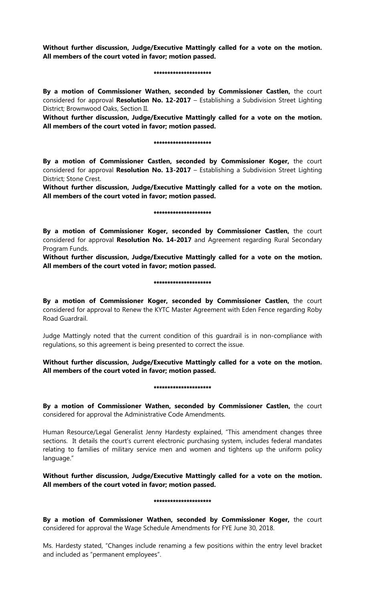**Without further discussion, Judge/Executive Mattingly called for a vote on the motion. All members of the court voted in favor; motion passed.** 

#### \*\*\*\*\*\*\*\*\*\*\*\*\*\*\*\*\*\*\*\*\*

**By a motion of Commissioner Wathen, seconded by Commissioner Castlen,** the court considered for approval **Resolution No. 12-2017** – Establishing a Subdivision Street Lighting District; Brownwood Oaks, Section II.

**Without further discussion, Judge/Executive Mattingly called for a vote on the motion. All members of the court voted in favor; motion passed.** 

#### \*\*\*\*\*\*\*\*\*\*\*\*\*\*\*\*\*\*\*\*\*

**By a motion of Commissioner Castlen, seconded by Commissioner Koger,** the court considered for approval **Resolution No. 13-2017** – Establishing a Subdivision Street Lighting District; Stone Crest.

**Without further discussion, Judge/Executive Mattingly called for a vote on the motion. All members of the court voted in favor; motion passed.** 

#### \*\*\*\*\*\*\*\*\*\*\*\*\*\*\*\*\*\*\*\*\*

**By a motion of Commissioner Koger, seconded by Commissioner Castlen,** the court considered for approval **Resolution No. 14-2017** and Agreement regarding Rural Secondary Program Funds.

**Without further discussion, Judge/Executive Mattingly called for a vote on the motion. All members of the court voted in favor; motion passed.** 

#### \*\*\*\*\*\*\*\*\*\*\*\*\*\*\*\*\*\*\*\*\*

**By a motion of Commissioner Koger, seconded by Commissioner Castlen,** the court considered for approval to Renew the KYTC Master Agreement with Eden Fence regarding Roby Road Guardrail.

Judge Mattingly noted that the current condition of this guardrail is in non-compliance with regulations, so this agreement is being presented to correct the issue.

**Without further discussion, Judge/Executive Mattingly called for a vote on the motion. All members of the court voted in favor; motion passed.** 

#### \*\*\*\*\*\*\*\*\*\*\*\*\*\*\*\*\*\*\*\*\*

**By a motion of Commissioner Wathen, seconded by Commissioner Castlen,** the court considered for approval the Administrative Code Amendments.

Human Resource/Legal Generalist Jenny Hardesty explained, "This amendment changes three sections. It details the court's current electronic purchasing system, includes federal mandates relating to families of military service men and women and tightens up the uniform policy language."

**Without further discussion, Judge/Executive Mattingly called for a vote on the motion. All members of the court voted in favor; motion passed.** 

#### \*\*\*\*\*\*\*\*\*\*\*\*\*\*\*\*\*\*\*

**By a motion of Commissioner Wathen, seconded by Commissioner Koger,** the court considered for approval the Wage Schedule Amendments for FYE June 30, 2018.

Ms. Hardesty stated, "Changes include renaming a few positions within the entry level bracket and included as "permanent employees".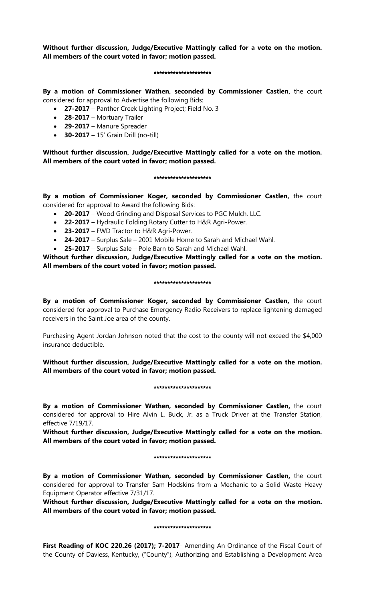**Without further discussion, Judge/Executive Mattingly called for a vote on the motion. All members of the court voted in favor; motion passed.** 

#### \*\*\*\*\*\*\*\*\*\*\*\*\*\*\*\*\*\*\*\*\*

**By a motion of Commissioner Wathen, seconded by Commissioner Castlen,** the court considered for approval to Advertise the following Bids:

• **27-2017** – Panther Creek Lighting Project; Field No. 3

- **28-2017** Mortuary Trailer
- **29-2017** Manure Spreader
- **30-2017** 15' Grain Drill (no-till)

**Without further discussion, Judge/Executive Mattingly called for a vote on the motion. All members of the court voted in favor; motion passed.** 

### \*\*\*\*\*\*\*\*\*\*\*\*\*\*\*\*\*\*\*\*\*\*\*\*\*\*\*\*\*\*\*\*\*\*

**By a motion of Commissioner Koger, seconded by Commissioner Castlen,** the court considered for approval to Award the following Bids:

- **20-2017** Wood Grinding and Disposal Services to PGC Mulch, LLC.
- **22-2017** Hydraulic Folding Rotary Cutter to H&R Agri-Power.
- **23-2017** FWD Tractor to H&R Agri-Power.
- **24-2017** Surplus Sale 2001 Mobile Home to Sarah and Michael Wahl.
- **25-2017** Surplus Sale Pole Barn to Sarah and Michael Wahl.

**Without further discussion, Judge/Executive Mattingly called for a vote on the motion. All members of the court voted in favor; motion passed.** 

### \*\*\*\*\*\*\*\*\*\*\*\*\*\*\*\*\*\*\*\*\*

**By a motion of Commissioner Koger, seconded by Commissioner Castlen,** the court considered for approval to Purchase Emergency Radio Receivers to replace lightening damaged receivers in the Saint Joe area of the county.

Purchasing Agent Jordan Johnson noted that the cost to the county will not exceed the \$4,000 insurance deductible.

# **Without further discussion, Judge/Executive Mattingly called for a vote on the motion. All members of the court voted in favor; motion passed.**

## \*\*\*\*\*\*\*\*\*\*\*\*\*\*\*\*\*\*\*\*\*

**By a motion of Commissioner Wathen, seconded by Commissioner Castlen,** the court considered for approval to Hire Alvin L. Buck, Jr. as a Truck Driver at the Transfer Station, effective 7/19/17.

**Without further discussion, Judge/Executive Mattingly called for a vote on the motion. All members of the court voted in favor; motion passed.** 

## \*\*\*\*\*\*\*\*\*\*\*\*\*\*\*\*\*\*\*\*\*

**By a motion of Commissioner Wathen, seconded by Commissioner Castlen,** the court considered for approval to Transfer Sam Hodskins from a Mechanic to a Solid Waste Heavy Equipment Operator effective 7/31/17.

**Without further discussion, Judge/Executive Mattingly called for a vote on the motion. All members of the court voted in favor; motion passed.** 

## \*\*\*\*\*\*\*\*\*\*\*\*\*\*\*\*\*\*\*\*\*

First Reading of KOC 220.26 (2017); 7-2017- Amending An Ordinance of the Fiscal Court of the County of Daviess, Kentucky, ("County"), Authorizing and Establishing a Development Area